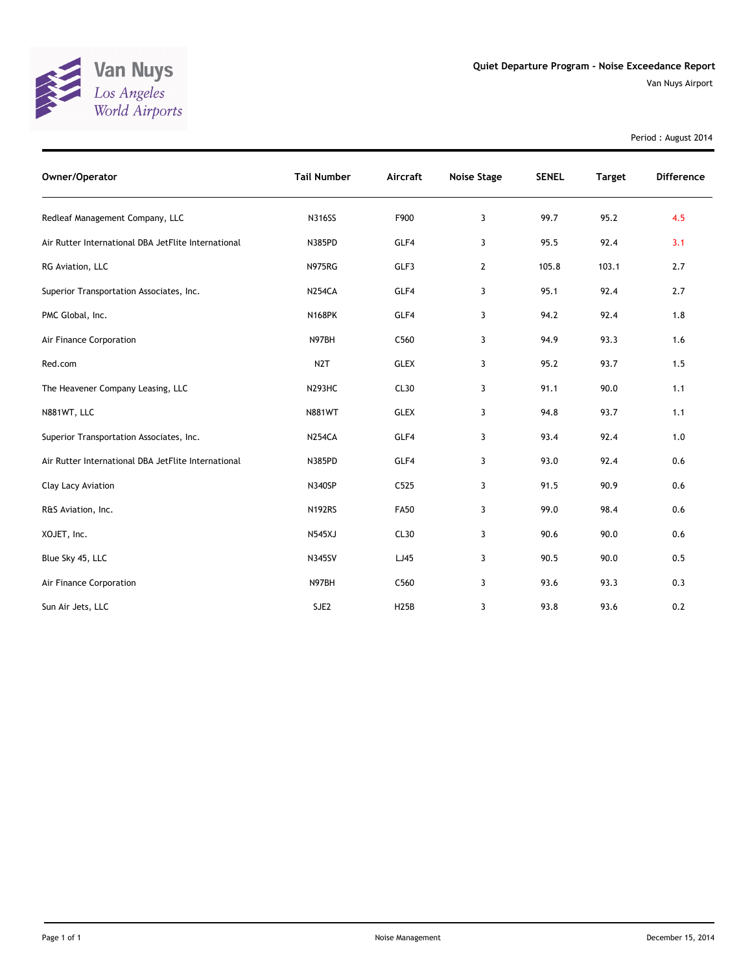

Van Nuys Airport

Period : August 2014

| Owner/Operator                                      | <b>Tail Number</b> | Aircraft          | <b>Noise Stage</b> | <b>SENEL</b> | <b>Target</b> | <b>Difference</b> |
|-----------------------------------------------------|--------------------|-------------------|--------------------|--------------|---------------|-------------------|
| Redleaf Management Company, LLC                     | <b>N316SS</b>      | F900              | 3                  | 99.7         | 95.2          | 4.5               |
| Air Rutter International DBA JetFlite International | N385PD             | GLF4              | 3                  | 95.5         | 92.4          | 3.1               |
| RG Aviation, LLC                                    | <b>N975RG</b>      | GLF3              | $\overline{2}$     | 105.8        | 103.1         | 2.7               |
| Superior Transportation Associates, Inc.            | <b>N254CA</b>      | GLF4              | 3                  | 95.1         | 92.4          | 2.7               |
| PMC Global, Inc.                                    | <b>N168PK</b>      | GLF4              | 3                  | 94.2         | 92.4          | 1.8               |
| Air Finance Corporation                             | N97BH              | C560              | 3                  | 94.9         | 93.3          | 1.6               |
| Red.com                                             | N <sub>2</sub> T   | <b>GLEX</b>       | 3                  | 95.2         | 93.7          | 1.5               |
| The Heavener Company Leasing, LLC                   | <b>N293HC</b>      | CL30              | 3                  | 91.1         | 90.0          | 1.1               |
| N881WT, LLC                                         | <b>N881WT</b>      | <b>GLEX</b>       | 3                  | 94.8         | 93.7          | 1.1               |
| Superior Transportation Associates, Inc.            | <b>N254CA</b>      | GLF4              | 3                  | 93.4         | 92.4          | 1.0               |
| Air Rutter International DBA JetFlite International | N385PD             | GLF4              | 3                  | 93.0         | 92.4          | 0.6               |
| Clay Lacy Aviation                                  | <b>N340SP</b>      | C525              | 3                  | 91.5         | 90.9          | 0.6               |
| R&S Aviation, Inc.                                  | <b>N192RS</b>      | <b>FA50</b>       | 3                  | 99.0         | 98.4          | 0.6               |
| XOJET, Inc.                                         | <b>N545XJ</b>      | CL30              | 3                  | 90.6         | 90.0          | 0.6               |
| Blue Sky 45, LLC                                    | <b>N345SV</b>      | LJ45              | 3                  | 90.5         | 90.0          | 0.5               |
| Air Finance Corporation                             | N97BH              | C560              | 3                  | 93.6         | 93.3          | 0.3               |
| Sun Air Jets, LLC                                   | SJE2               | H <sub>25</sub> B | 3                  | 93.8         | 93.6          | 0.2               |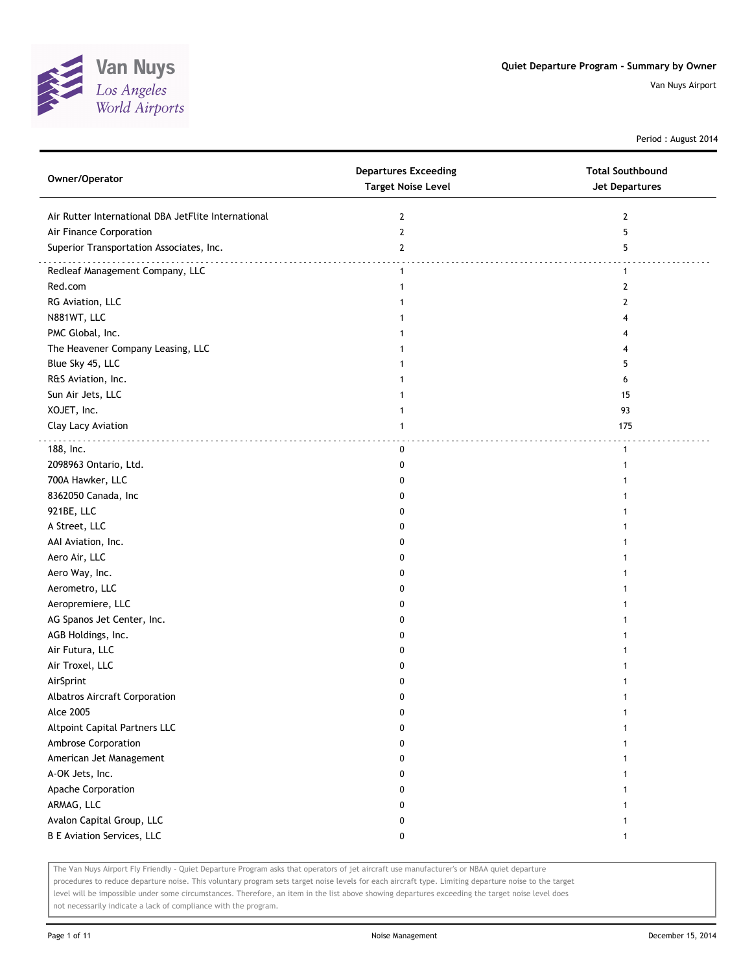

Period : August 2014

| Owner/Operator                                      | <b>Departures Exceeding</b><br><b>Target Noise Level</b> | <b>Total Southbound</b><br><b>Jet Departures</b> |
|-----------------------------------------------------|----------------------------------------------------------|--------------------------------------------------|
| Air Rutter International DBA JetFlite International | $\overline{2}$                                           | 2                                                |
| Air Finance Corporation                             | $\overline{2}$                                           | 5                                                |
| Superior Transportation Associates, Inc.            | $\overline{2}$                                           | 5                                                |
| .<br>Redleaf Management Company, LLC                | $\mathbf{1}$                                             | $\mathbf{1}$                                     |
| Red.com                                             | 1                                                        | 2                                                |
| RG Aviation, LLC                                    |                                                          | 2                                                |
| N881WT, LLC                                         |                                                          | 4                                                |
| PMC Global, Inc.                                    |                                                          | 4                                                |
| The Heavener Company Leasing, LLC                   |                                                          | 4                                                |
| Blue Sky 45, LLC                                    |                                                          | 5                                                |
| R&S Aviation, Inc.                                  |                                                          | 6                                                |
| Sun Air Jets, LLC                                   |                                                          | 15                                               |
| XOJET, Inc.                                         | 1                                                        | 93                                               |
| Clay Lacy Aviation                                  | $\mathbf{1}$                                             | 175                                              |
| 188, Inc.                                           | 0                                                        | $\mathbf{1}$                                     |
| 2098963 Ontario, Ltd.                               | 0                                                        | 1                                                |
| 700A Hawker, LLC                                    | 0                                                        |                                                  |
| 8362050 Canada, Inc                                 | 0                                                        |                                                  |
| 921BE, LLC                                          | 0                                                        |                                                  |
| A Street, LLC                                       | 0                                                        |                                                  |
| AAI Aviation, Inc.                                  | 0                                                        |                                                  |
| Aero Air, LLC                                       | 0                                                        |                                                  |
| Aero Way, Inc.                                      | 0                                                        |                                                  |
| Aerometro, LLC                                      | 0                                                        |                                                  |
| Aeropremiere, LLC                                   | 0                                                        |                                                  |
| AG Spanos Jet Center, Inc.                          | 0                                                        |                                                  |
| AGB Holdings, Inc.                                  | 0                                                        |                                                  |
| Air Futura, LLC                                     | 0                                                        |                                                  |
| Air Troxel, LLC                                     | 0                                                        |                                                  |
| AirSprint                                           | 0                                                        |                                                  |
| Albatros Aircraft Corporation                       | 0                                                        |                                                  |
| <b>Alce 2005</b>                                    | 0                                                        |                                                  |
| Altpoint Capital Partners LLC                       | 0                                                        |                                                  |
| Ambrose Corporation                                 | 0                                                        |                                                  |
| American Jet Management                             | 0                                                        |                                                  |
| A-OK Jets, Inc.                                     | 0                                                        |                                                  |
| Apache Corporation                                  | 0                                                        |                                                  |
| ARMAG, LLC                                          | 0                                                        |                                                  |
| Avalon Capital Group, LLC                           | 0                                                        |                                                  |
| <b>B E Aviation Services, LLC</b>                   | 0                                                        | $\mathbf{1}$                                     |

The Van Nuys Airport Fly Friendly - Quiet Departure Program asks that operators of jet aircraft use manufacturer's or NBAA quiet departure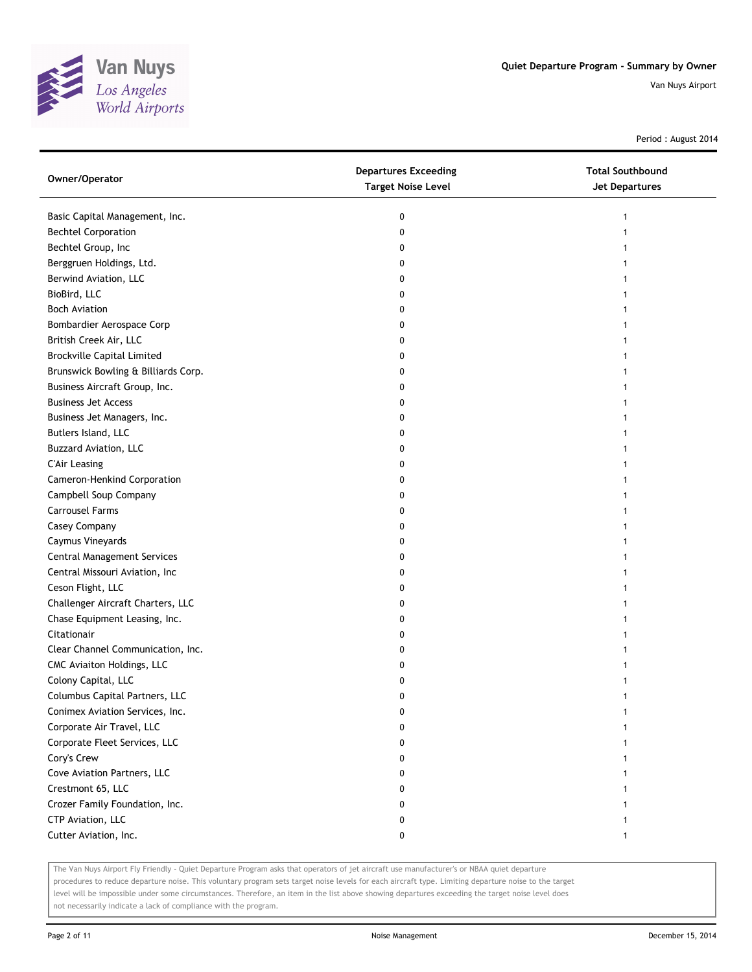

Period : August 2014

| Owner/Operator                      | <b>Departures Exceeding</b><br><b>Target Noise Level</b> | <b>Total Southbound</b><br><b>Jet Departures</b> |
|-------------------------------------|----------------------------------------------------------|--------------------------------------------------|
| Basic Capital Management, Inc.      | 0                                                        |                                                  |
| <b>Bechtel Corporation</b>          | 0                                                        |                                                  |
| Bechtel Group, Inc                  | 0                                                        |                                                  |
| Berggruen Holdings, Ltd.            | 0                                                        |                                                  |
| Berwind Aviation, LLC               | 0                                                        |                                                  |
| BioBird, LLC                        | 0                                                        |                                                  |
| <b>Boch Aviation</b>                | 0                                                        |                                                  |
| Bombardier Aerospace Corp           | 0                                                        |                                                  |
| British Creek Air, LLC              | 0                                                        |                                                  |
| <b>Brockville Capital Limited</b>   | 0                                                        |                                                  |
| Brunswick Bowling & Billiards Corp. | 0                                                        |                                                  |
| Business Aircraft Group, Inc.       | 0                                                        |                                                  |
| <b>Business Jet Access</b>          | 0                                                        |                                                  |
| Business Jet Managers, Inc.         | 0                                                        |                                                  |
| Butlers Island, LLC                 | 0                                                        |                                                  |
| <b>Buzzard Aviation, LLC</b>        | 0                                                        |                                                  |
| <b>C'Air Leasing</b>                | 0                                                        |                                                  |
| Cameron-Henkind Corporation         | 0                                                        |                                                  |
| Campbell Soup Company               | 0                                                        |                                                  |
| <b>Carrousel Farms</b>              | 0                                                        |                                                  |
| Casey Company                       | 0                                                        |                                                  |
| Caymus Vineyards                    | 0                                                        |                                                  |
| <b>Central Management Services</b>  | 0                                                        |                                                  |
| Central Missouri Aviation, Inc      | 0                                                        |                                                  |
| Ceson Flight, LLC                   | 0                                                        |                                                  |
| Challenger Aircraft Charters, LLC   | 0                                                        |                                                  |
| Chase Equipment Leasing, Inc.       | 0                                                        |                                                  |
| Citationair                         | 0                                                        |                                                  |
| Clear Channel Communication, Inc.   | 0                                                        |                                                  |
| CMC Aviaiton Holdings, LLC          | 0                                                        |                                                  |
| Colony Capital, LLC                 | 0                                                        |                                                  |
| Columbus Capital Partners, LLC      | 0                                                        |                                                  |
| Conimex Aviation Services, Inc.     | 0                                                        |                                                  |
| Corporate Air Travel, LLC           | 0                                                        |                                                  |
| Corporate Fleet Services, LLC       | 0                                                        |                                                  |
| Cory's Crew                         | 0                                                        |                                                  |
| Cove Aviation Partners, LLC         | 0                                                        |                                                  |
| Crestmont 65, LLC                   | 0                                                        |                                                  |
| Crozer Family Foundation, Inc.      | 0                                                        |                                                  |
| CTP Aviation, LLC                   | 0                                                        |                                                  |
| Cutter Aviation, Inc.               | 0                                                        | 1                                                |

The Van Nuys Airport Fly Friendly - Quiet Departure Program asks that operators of jet aircraft use manufacturer's or NBAA quiet departure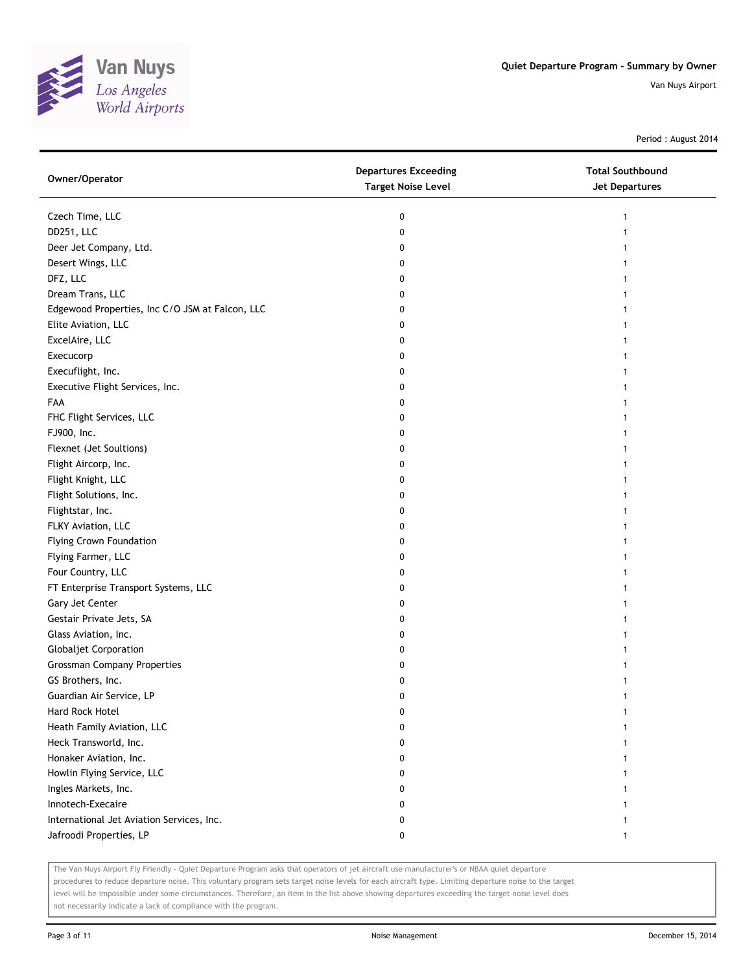

Period : August 2014

| Owner/Operator                                  | <b>Departures Exceeding</b><br><b>Target Noise Level</b> | <b>Total Southbound</b><br>Jet Departures |
|-------------------------------------------------|----------------------------------------------------------|-------------------------------------------|
| Czech Time, LLC                                 | 0                                                        |                                           |
| DD251, LLC                                      | 0                                                        |                                           |
| Deer Jet Company, Ltd.                          | 0                                                        |                                           |
| Desert Wings, LLC                               | 0                                                        |                                           |
| DFZ, LLC                                        | 0                                                        |                                           |
| Dream Trans, LLC                                | 0                                                        |                                           |
| Edgewood Properties, Inc C/O JSM at Falcon, LLC | 0                                                        |                                           |
| Elite Aviation, LLC                             | 0                                                        |                                           |
| ExcelAire, LLC                                  | 0                                                        |                                           |
| Execucorp                                       | 0                                                        |                                           |
| Execuflight, Inc.                               | 0                                                        |                                           |
| Executive Flight Services, Inc.                 | 0                                                        |                                           |
| FAA                                             | 0                                                        |                                           |
| FHC Flight Services, LLC                        | 0                                                        |                                           |
| FJ900, Inc.                                     | 0                                                        |                                           |
| Flexnet (Jet Soultions)                         | 0                                                        |                                           |
| Flight Aircorp, Inc.                            | 0                                                        |                                           |
| Flight Knight, LLC                              | 0                                                        |                                           |
| Flight Solutions, Inc.                          | 0                                                        |                                           |
| Flightstar, Inc.                                | 0                                                        |                                           |
| FLKY Aviation, LLC                              | 0                                                        |                                           |
| <b>Flying Crown Foundation</b>                  | 0                                                        |                                           |
| Flying Farmer, LLC                              | 0                                                        |                                           |
| Four Country, LLC                               | 0                                                        |                                           |
| FT Enterprise Transport Systems, LLC            | 0                                                        |                                           |
| Gary Jet Center                                 | 0                                                        |                                           |
| Gestair Private Jets, SA                        | 0                                                        |                                           |
| Glass Aviation, Inc.                            | 0                                                        |                                           |
| <b>Globaljet Corporation</b>                    | 0                                                        |                                           |
| <b>Grossman Company Properties</b>              | 0                                                        |                                           |
| GS Brothers, Inc.                               | 0                                                        |                                           |
| Guardian Air Service, LP                        | 0                                                        |                                           |
| Hard Rock Hotel                                 | 0                                                        |                                           |
| Heath Family Aviation, LLC                      | 0                                                        |                                           |
| Heck Transworld, Inc.                           | 0                                                        |                                           |
| Honaker Aviation, Inc.                          | 0                                                        |                                           |
| Howlin Flying Service, LLC                      | 0                                                        |                                           |
| Ingles Markets, Inc.                            | 0                                                        |                                           |
| Innotech-Execaire                               | 0                                                        |                                           |
| International Jet Aviation Services, Inc.       | 0                                                        |                                           |
| Jafroodi Properties, LP                         | 0                                                        |                                           |

The Van Nuys Airport Fly Friendly - Quiet Departure Program asks that operators of jet aircraft use manufacturer's or NBAA quiet departure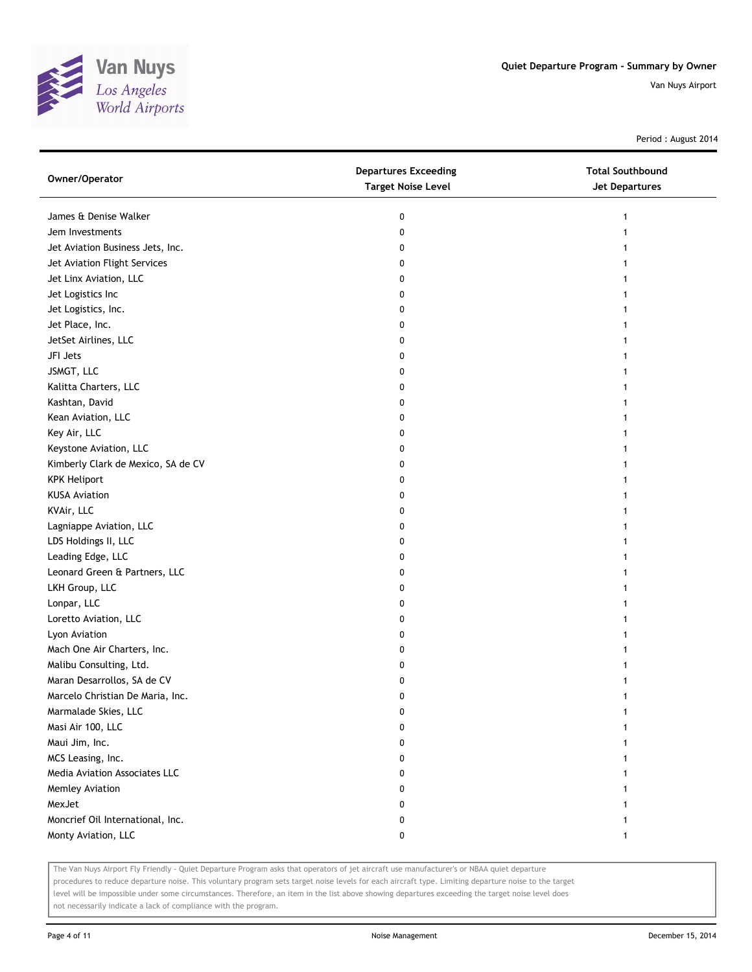

Period : August 2014

| Owner/Operator                     | <b>Departures Exceeding</b><br><b>Target Noise Level</b> | <b>Total Southbound</b><br><b>Jet Departures</b> |
|------------------------------------|----------------------------------------------------------|--------------------------------------------------|
| James & Denise Walker              | 0                                                        | 1                                                |
| Jem Investments                    | 0                                                        |                                                  |
| Jet Aviation Business Jets, Inc.   | 0                                                        |                                                  |
| Jet Aviation Flight Services       | 0                                                        |                                                  |
| Jet Linx Aviation, LLC             | 0                                                        |                                                  |
| Jet Logistics Inc                  | 0                                                        |                                                  |
| Jet Logistics, Inc.                | 0                                                        |                                                  |
| Jet Place, Inc.                    | 0                                                        |                                                  |
| JetSet Airlines, LLC               | 0                                                        |                                                  |
| JFI Jets                           | 0                                                        |                                                  |
| JSMGT, LLC                         | 0                                                        |                                                  |
| Kalitta Charters, LLC              | 0                                                        |                                                  |
| Kashtan, David                     | 0                                                        |                                                  |
| Kean Aviation, LLC                 | 0                                                        |                                                  |
| Key Air, LLC                       | 0                                                        |                                                  |
| Keystone Aviation, LLC             | 0                                                        |                                                  |
| Kimberly Clark de Mexico, SA de CV | 0                                                        |                                                  |
| <b>KPK Heliport</b>                | 0                                                        |                                                  |
| <b>KUSA Aviation</b>               | 0                                                        |                                                  |
| KVAir, LLC                         | 0                                                        |                                                  |
| Lagniappe Aviation, LLC            | 0                                                        |                                                  |
| LDS Holdings II, LLC               | 0                                                        |                                                  |
| Leading Edge, LLC                  | 0                                                        |                                                  |
| Leonard Green & Partners, LLC      | 0                                                        |                                                  |
| LKH Group, LLC                     | 0                                                        |                                                  |
| Lonpar, LLC                        | 0                                                        |                                                  |
| Loretto Aviation, LLC              | 0                                                        |                                                  |
| Lyon Aviation                      | 0                                                        |                                                  |
| Mach One Air Charters, Inc.        | 0                                                        |                                                  |
| Malibu Consulting, Ltd.            | 0                                                        |                                                  |
| Maran Desarrollos, SA de CV        | 0                                                        |                                                  |
| Marcelo Christian De Maria, Inc.   | 0                                                        |                                                  |
| Marmalade Skies, LLC               | 0                                                        |                                                  |
| Masi Air 100, LLC                  | 0                                                        |                                                  |
| Maui Jim, Inc.                     | 0                                                        |                                                  |
| MCS Leasing, Inc.                  | 0                                                        |                                                  |
| Media Aviation Associates LLC      | 0                                                        |                                                  |
| Memley Aviation                    | 0                                                        |                                                  |
| MexJet                             | 0                                                        |                                                  |
| Moncrief Oil International, Inc.   | 0                                                        |                                                  |
| Monty Aviation, LLC                | 0                                                        |                                                  |

The Van Nuys Airport Fly Friendly - Quiet Departure Program asks that operators of jet aircraft use manufacturer's or NBAA quiet departure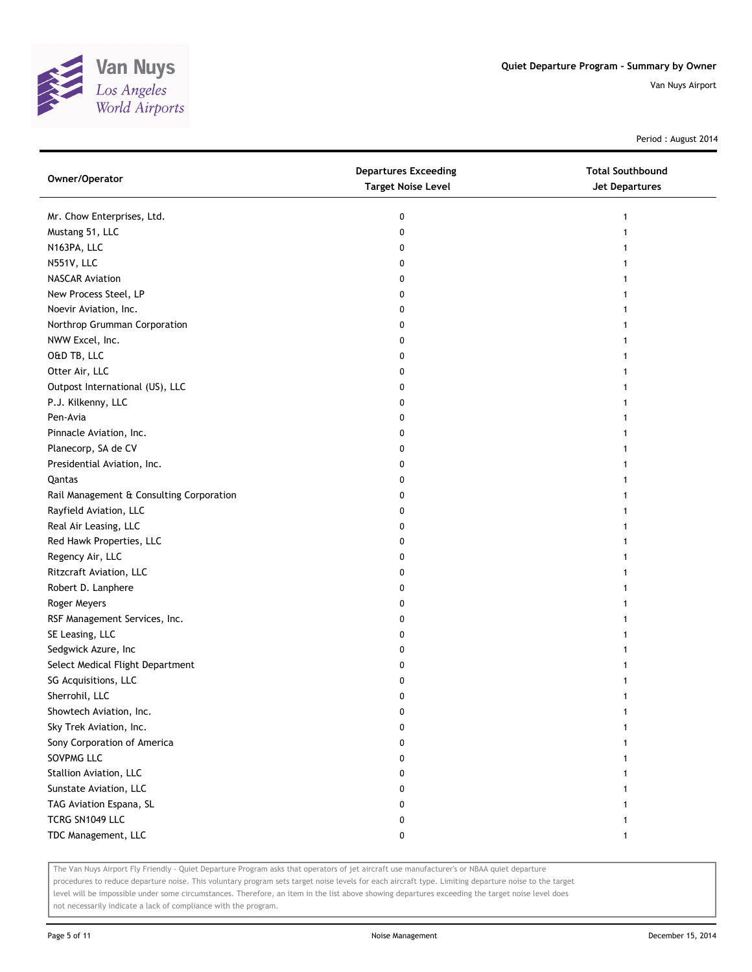

Period : August 2014

| Owner/Operator                           | <b>Departures Exceeding</b><br><b>Target Noise Level</b> | <b>Total Southbound</b><br><b>Jet Departures</b> |
|------------------------------------------|----------------------------------------------------------|--------------------------------------------------|
| Mr. Chow Enterprises, Ltd.               | 0                                                        |                                                  |
| Mustang 51, LLC                          | 0                                                        |                                                  |
| N163PA, LLC                              | 0                                                        |                                                  |
| N551V, LLC                               | 0                                                        |                                                  |
| <b>NASCAR Aviation</b>                   | 0                                                        |                                                  |
| New Process Steel, LP                    | 0                                                        |                                                  |
| Noevir Aviation, Inc.                    | 0                                                        |                                                  |
| Northrop Grumman Corporation             | 0                                                        |                                                  |
| NWW Excel, Inc.                          | 0                                                        |                                                  |
| O&D TB, LLC                              | 0                                                        |                                                  |
| Otter Air, LLC                           | 0                                                        |                                                  |
| Outpost International (US), LLC          | 0                                                        |                                                  |
| P.J. Kilkenny, LLC                       | 0                                                        |                                                  |
| Pen-Avia                                 | 0                                                        |                                                  |
| Pinnacle Aviation, Inc.                  | 0                                                        |                                                  |
| Planecorp, SA de CV                      | 0                                                        | 1                                                |
| Presidential Aviation, Inc.              | 0                                                        |                                                  |
| Qantas                                   | 0                                                        |                                                  |
| Rail Management & Consulting Corporation | 0                                                        |                                                  |
| Rayfield Aviation, LLC                   | 0                                                        |                                                  |
| Real Air Leasing, LLC                    | 0                                                        |                                                  |
| Red Hawk Properties, LLC                 | 0                                                        |                                                  |
| Regency Air, LLC                         | 0                                                        |                                                  |
| Ritzcraft Aviation, LLC                  | 0                                                        |                                                  |
| Robert D. Lanphere                       | 0                                                        |                                                  |
| Roger Meyers                             | 0                                                        |                                                  |
| RSF Management Services, Inc.            | 0                                                        |                                                  |
| SE Leasing, LLC                          | 0                                                        |                                                  |
| Sedgwick Azure, Inc                      | 0                                                        |                                                  |
| Select Medical Flight Department         | 0                                                        |                                                  |
| SG Acquisitions, LLC                     | 0                                                        |                                                  |
| Sherrohil, LLC                           | 0                                                        |                                                  |
| Showtech Aviation, Inc.                  | 0                                                        |                                                  |
| Sky Trek Aviation, Inc.                  | 0                                                        |                                                  |
| Sony Corporation of America              | 0                                                        |                                                  |
| SOVPMG LLC                               | 0                                                        |                                                  |
| Stallion Aviation, LLC                   | 0                                                        |                                                  |
| Sunstate Aviation, LLC                   | 0                                                        |                                                  |
| TAG Aviation Espana, SL                  | 0                                                        |                                                  |
| TCRG SN1049 LLC                          | 0                                                        |                                                  |
| TDC Management, LLC                      | 0                                                        |                                                  |

The Van Nuys Airport Fly Friendly - Quiet Departure Program asks that operators of jet aircraft use manufacturer's or NBAA quiet departure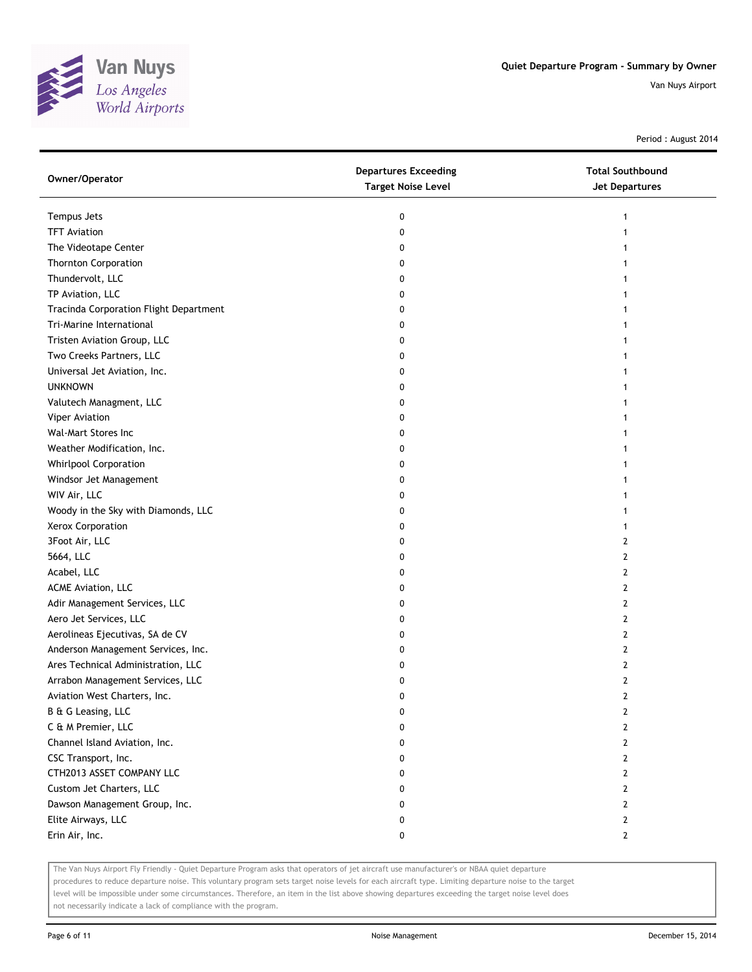

Period : August 2014

| Owner/Operator                         | <b>Departures Exceeding</b><br><b>Target Noise Level</b> | <b>Total Southbound</b><br><b>Jet Departures</b> |
|----------------------------------------|----------------------------------------------------------|--------------------------------------------------|
| Tempus Jets                            | 0                                                        | 1                                                |
| <b>TFT Aviation</b>                    | 0                                                        |                                                  |
| The Videotape Center                   | 0                                                        |                                                  |
| <b>Thornton Corporation</b>            | 0                                                        |                                                  |
| Thundervolt, LLC                       | 0                                                        |                                                  |
| TP Aviation, LLC                       | 0                                                        |                                                  |
| Tracinda Corporation Flight Department | 0                                                        |                                                  |
| Tri-Marine International               | 0                                                        |                                                  |
| Tristen Aviation Group, LLC            | 0                                                        |                                                  |
| Two Creeks Partners, LLC               | 0                                                        |                                                  |
| Universal Jet Aviation, Inc.           | 0                                                        |                                                  |
| <b>UNKNOWN</b>                         | 0                                                        |                                                  |
| Valutech Managment, LLC                | 0                                                        |                                                  |
| Viper Aviation                         | 0                                                        |                                                  |
| Wal-Mart Stores Inc                    | 0                                                        |                                                  |
| Weather Modification, Inc.             | 0                                                        |                                                  |
| Whirlpool Corporation                  | 0                                                        |                                                  |
| Windsor Jet Management                 | 0                                                        |                                                  |
| WIV Air, LLC                           | 0                                                        |                                                  |
| Woody in the Sky with Diamonds, LLC    | 0                                                        |                                                  |
| Xerox Corporation                      | 0                                                        |                                                  |
| 3Foot Air, LLC                         | 0                                                        | 2                                                |
| 5664, LLC                              | 0                                                        | 2                                                |
| Acabel, LLC                            | 0                                                        | 2                                                |
| ACME Aviation, LLC                     | 0                                                        | 2                                                |
| Adir Management Services, LLC          | 0                                                        | 2                                                |
| Aero Jet Services, LLC                 | 0                                                        | 2                                                |
| Aerolineas Ejecutivas, SA de CV        | 0                                                        | 2                                                |
| Anderson Management Services, Inc.     | 0                                                        | 2                                                |
| Ares Technical Administration, LLC     | 0                                                        | 2                                                |
| Arrabon Management Services, LLC       | 0                                                        | $\mathbf{2}$                                     |
| Aviation West Charters, Inc.           | 0                                                        | $\mathbf{2}$                                     |
| B & G Leasing, LLC                     | 0                                                        | 2                                                |
| C & M Premier, LLC                     | 0                                                        | 2                                                |
| Channel Island Aviation, Inc.          | 0                                                        | $\overline{2}$                                   |
| CSC Transport, Inc.                    | 0                                                        | $\mathbf{2}$                                     |
| CTH2013 ASSET COMPANY LLC              | 0                                                        | $\mathbf{2}$                                     |
| Custom Jet Charters, LLC               | 0                                                        | $\mathbf{2}$                                     |
| Dawson Management Group, Inc.          | 0                                                        | $\mathbf{2}$                                     |
| Elite Airways, LLC                     | 0                                                        | $\mathbf{2}$                                     |
| Erin Air, Inc.                         | 0                                                        | $\mathbf{2}$                                     |

The Van Nuys Airport Fly Friendly - Quiet Departure Program asks that operators of jet aircraft use manufacturer's or NBAA quiet departure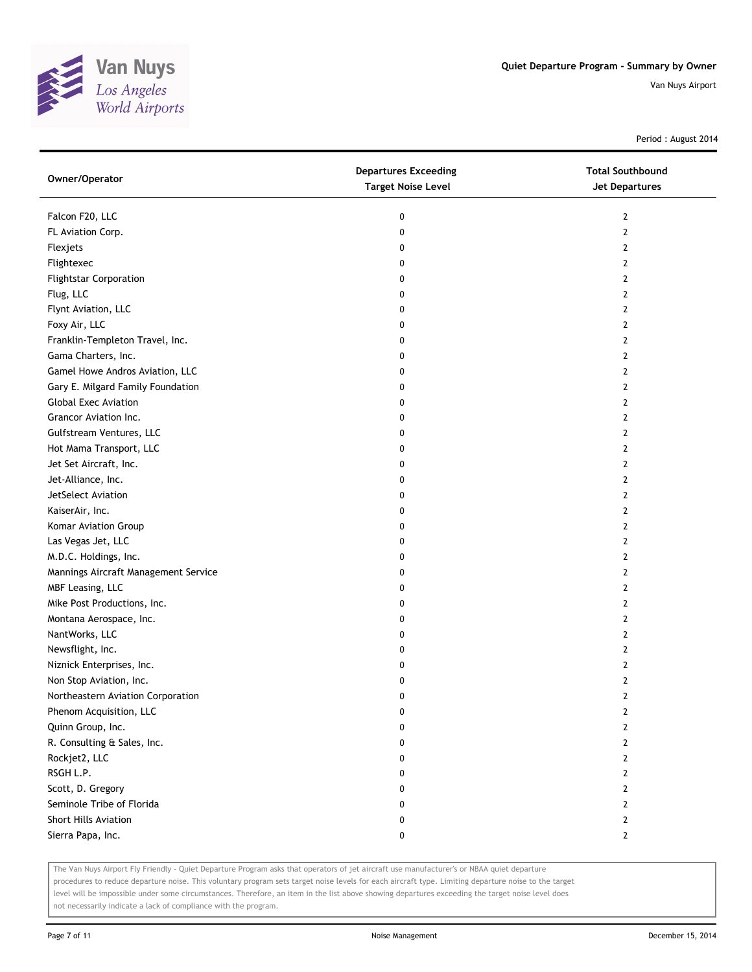

Period : August 2014

| Owner/Operator                       | <b>Departures Exceeding</b><br><b>Target Noise Level</b> | <b>Total Southbound</b><br><b>Jet Departures</b> |
|--------------------------------------|----------------------------------------------------------|--------------------------------------------------|
| Falcon F20, LLC                      | 0                                                        | 2                                                |
| FL Aviation Corp.                    | 0                                                        | 2                                                |
| Flexjets                             | 0                                                        | $\overline{2}$                                   |
| Flightexec                           | 0                                                        | 2                                                |
| <b>Flightstar Corporation</b>        | 0                                                        | 2                                                |
| Flug, LLC                            | 0                                                        | 2                                                |
| Flynt Aviation, LLC                  | 0                                                        | 2                                                |
| Foxy Air, LLC                        | 0                                                        | $\overline{2}$                                   |
| Franklin-Templeton Travel, Inc.      | 0                                                        | $\mathbf{2}$                                     |
| Gama Charters, Inc.                  | 0                                                        | 2                                                |
| Gamel Howe Andros Aviation, LLC      | 0                                                        | $\mathbf{2}$                                     |
| Gary E. Milgard Family Foundation    | 0                                                        | 2                                                |
| <b>Global Exec Aviation</b>          | 0                                                        | $\overline{2}$                                   |
| Grancor Aviation Inc.                | 0                                                        | 2                                                |
| Gulfstream Ventures, LLC             | 0                                                        | 2                                                |
| Hot Mama Transport, LLC              | 0                                                        | 2                                                |
| Jet Set Aircraft, Inc.               | 0                                                        | 2                                                |
| Jet-Alliance, Inc.                   | 0                                                        | $\overline{2}$                                   |
| JetSelect Aviation                   | 0                                                        | $\mathbf{2}$                                     |
| KaiserAir, Inc.                      | 0                                                        | 2                                                |
| Komar Aviation Group                 | 0                                                        | $\mathbf{2}$                                     |
| Las Vegas Jet, LLC                   | 0                                                        | 2                                                |
| M.D.C. Holdings, Inc.                | 0                                                        | $\mathbf{2}$                                     |
| Mannings Aircraft Management Service | 0                                                        | $\mathbf{2}$                                     |
| MBF Leasing, LLC                     | 0                                                        | 2                                                |
| Mike Post Productions, Inc.          | 0                                                        | 2                                                |
| Montana Aerospace, Inc.              | 0                                                        | 2                                                |
| NantWorks, LLC                       | 0                                                        | $\mathbf{2}$                                     |
| Newsflight, Inc.                     | 0                                                        | $\mathbf{2}$                                     |
| Niznick Enterprises, Inc.            | 0                                                        | 2                                                |
| Non Stop Aviation, Inc.              | 0                                                        | $\overline{2}$                                   |
| Northeastern Aviation Corporation    | 0                                                        | $\mathbf{2}$                                     |
| Phenom Acquisition, LLC              | 0                                                        | $\overline{2}$                                   |
| Quinn Group, Inc.                    | 0                                                        | $\overline{2}$                                   |
| R. Consulting & Sales, Inc.          | 0                                                        | $\mathbf{2}$                                     |
| Rockjet2, LLC                        | 0                                                        | $\mathbf{2}$                                     |
| RSGH L.P.                            | 0                                                        | $\mathbf{2}$                                     |
| Scott, D. Gregory                    | 0                                                        | $\mathbf{2}$                                     |
| Seminole Tribe of Florida            | 0                                                        | $\overline{2}$                                   |
| <b>Short Hills Aviation</b>          | 0                                                        | $\overline{2}$                                   |
| Sierra Papa, Inc.                    | 0                                                        | $\mathbf{2}$                                     |

The Van Nuys Airport Fly Friendly - Quiet Departure Program asks that operators of jet aircraft use manufacturer's or NBAA quiet departure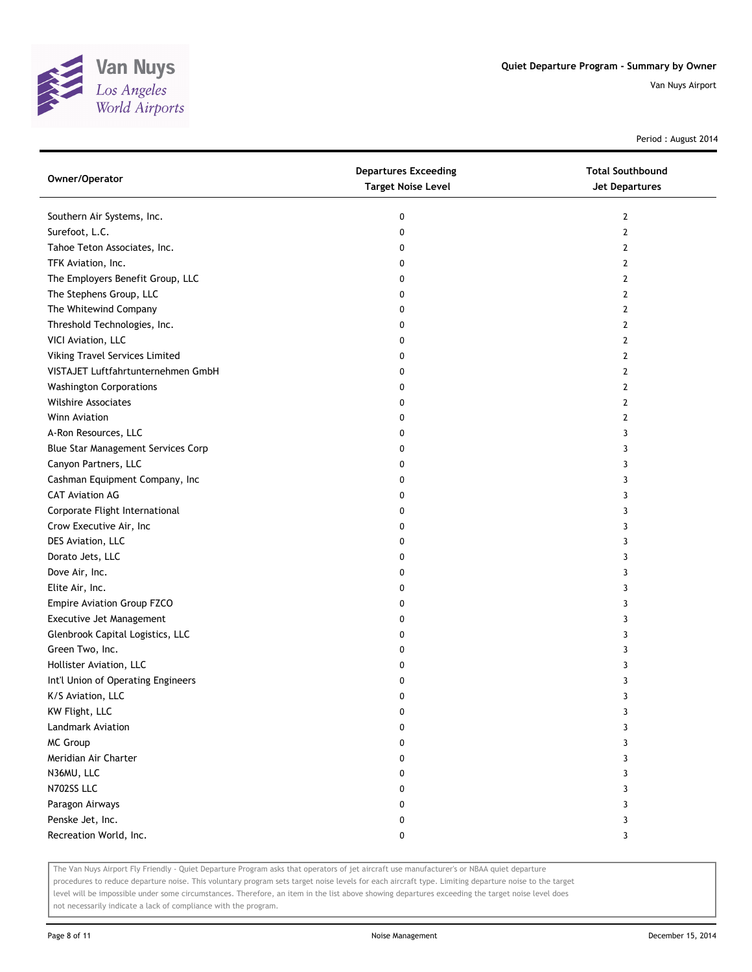

Period : August 2014

| Owner/Operator                     | <b>Departures Exceeding</b><br><b>Target Noise Level</b> | <b>Total Southbound</b><br>Jet Departures |
|------------------------------------|----------------------------------------------------------|-------------------------------------------|
| Southern Air Systems, Inc.         | 0                                                        | 2                                         |
| Surefoot, L.C.                     | 0                                                        | 2                                         |
| Tahoe Teton Associates, Inc.       | 0                                                        | 2                                         |
| TFK Aviation, Inc.                 | 0                                                        | 2                                         |
| The Employers Benefit Group, LLC   | 0                                                        | 2                                         |
| The Stephens Group, LLC            | 0                                                        | 2                                         |
| The Whitewind Company              | 0                                                        | 2                                         |
| Threshold Technologies, Inc.       | 0                                                        | 2                                         |
| VICI Aviation, LLC                 | 0                                                        | 2                                         |
| Viking Travel Services Limited     | 0                                                        | 2                                         |
| VISTAJET Luftfahrtunternehmen GmbH | 0                                                        | 2                                         |
| <b>Washington Corporations</b>     | 0                                                        | 2                                         |
| <b>Wilshire Associates</b>         | 0                                                        | 2                                         |
| Winn Aviation                      | 0                                                        | 2                                         |
| A-Ron Resources, LLC               | 0                                                        | 3                                         |
| Blue Star Management Services Corp | 0                                                        | 3                                         |
| Canyon Partners, LLC               | 0                                                        | 3                                         |
| Cashman Equipment Company, Inc     | 0                                                        | 3                                         |
| <b>CAT Aviation AG</b>             | 0                                                        | 3                                         |
| Corporate Flight International     | 0                                                        | 3                                         |
| Crow Executive Air, Inc            | 0                                                        | 3                                         |
| DES Aviation, LLC                  | 0                                                        | 3                                         |
| Dorato Jets, LLC                   | 0                                                        | 3                                         |
| Dove Air, Inc.                     | 0                                                        | 3                                         |
| Elite Air, Inc.                    | 0                                                        | 3                                         |
| Empire Aviation Group FZCO         | 0                                                        | 3                                         |
| Executive Jet Management           | 0                                                        | 3                                         |
| Glenbrook Capital Logistics, LLC   | 0                                                        | 3                                         |
| Green Two, Inc.                    | 0                                                        | 3                                         |
| Hollister Aviation, LLC            | 0                                                        | 3                                         |
| Int'l Union of Operating Engineers | 0                                                        | 3                                         |
| K/S Aviation, LLC                  | 0                                                        | 3                                         |
| KW Flight, LLC                     | 0                                                        | 3                                         |
| Landmark Aviation                  | 0                                                        | 3                                         |
| MC Group                           | 0                                                        | 3                                         |
| Meridian Air Charter               | 0                                                        | 3                                         |
| N36MU, LLC                         | 0                                                        | 3                                         |
| N702SS LLC                         | 0                                                        | 3                                         |
| Paragon Airways                    | 0                                                        | 3                                         |
| Penske Jet, Inc.                   | 0                                                        | 3                                         |
| Recreation World, Inc.             | 0                                                        | 3                                         |

The Van Nuys Airport Fly Friendly - Quiet Departure Program asks that operators of jet aircraft use manufacturer's or NBAA quiet departure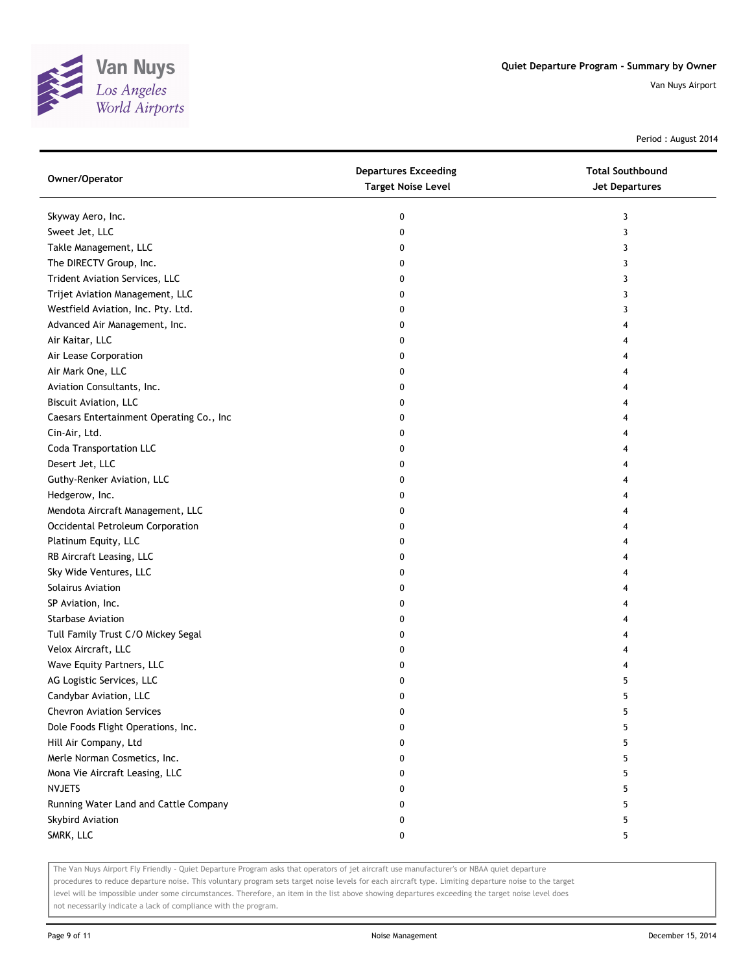

Period : August 2014

| Owner/Operator                           | <b>Departures Exceeding</b><br><b>Target Noise Level</b> | <b>Total Southbound</b><br>Jet Departures |
|------------------------------------------|----------------------------------------------------------|-------------------------------------------|
| Skyway Aero, Inc.                        | 0                                                        | 3                                         |
| Sweet Jet, LLC                           | 0                                                        | 3                                         |
| Takle Management, LLC                    | 0                                                        | 3                                         |
| The DIRECTV Group, Inc.                  | 0                                                        | 3                                         |
| Trident Aviation Services, LLC           | 0                                                        | 3                                         |
| Trijet Aviation Management, LLC          | 0                                                        | 3                                         |
| Westfield Aviation, Inc. Pty. Ltd.       | 0                                                        | 3                                         |
| Advanced Air Management, Inc.            | 0                                                        | 4                                         |
| Air Kaitar, LLC                          | 0                                                        | 4                                         |
| Air Lease Corporation                    | 0                                                        | 4                                         |
| Air Mark One, LLC                        | 0                                                        | 4                                         |
| Aviation Consultants, Inc.               | 0                                                        | 4                                         |
| <b>Biscuit Aviation, LLC</b>             | 0                                                        | 4                                         |
| Caesars Entertainment Operating Co., Inc | 0                                                        | 4                                         |
| Cin-Air, Ltd.                            | 0                                                        | 4                                         |
| <b>Coda Transportation LLC</b>           | 0                                                        | 4                                         |
| Desert Jet, LLC                          | 0                                                        | 4                                         |
| Guthy-Renker Aviation, LLC               | 0                                                        | 4                                         |
| Hedgerow, Inc.                           | 0                                                        | 4                                         |
| Mendota Aircraft Management, LLC         | 0                                                        | 4                                         |
| Occidental Petroleum Corporation         | 0                                                        | 4                                         |
| Platinum Equity, LLC                     | 0                                                        | 4                                         |
| RB Aircraft Leasing, LLC                 | 0                                                        | 4                                         |
| Sky Wide Ventures, LLC                   | 0                                                        | 4                                         |
| Solairus Aviation                        | 0                                                        | 4                                         |
| SP Aviation, Inc.                        | 0                                                        | 4                                         |
| <b>Starbase Aviation</b>                 | 0                                                        | 4                                         |
| Tull Family Trust C/O Mickey Segal       | 0                                                        | 4                                         |
| Velox Aircraft, LLC                      | 0                                                        | 4                                         |
| Wave Equity Partners, LLC                | 0                                                        | 4                                         |
| AG Logistic Services, LLC                | 0                                                        | 5                                         |
| Candybar Aviation, LLC                   | 0                                                        | 5                                         |
| <b>Chevron Aviation Services</b>         | 0                                                        | 5                                         |
| Dole Foods Flight Operations, Inc.       | 0                                                        | 5                                         |
| Hill Air Company, Ltd                    | 0                                                        | 5                                         |
| Merle Norman Cosmetics, Inc.             | 0                                                        | 5                                         |
| Mona Vie Aircraft Leasing, LLC           | 0                                                        | 5                                         |
| <b>NVJETS</b>                            | 0                                                        | 5                                         |
| Running Water Land and Cattle Company    | 0                                                        | 5                                         |
| Skybird Aviation                         | 0                                                        | 5                                         |
| SMRK, LLC                                | 0                                                        | 5                                         |

The Van Nuys Airport Fly Friendly - Quiet Departure Program asks that operators of jet aircraft use manufacturer's or NBAA quiet departure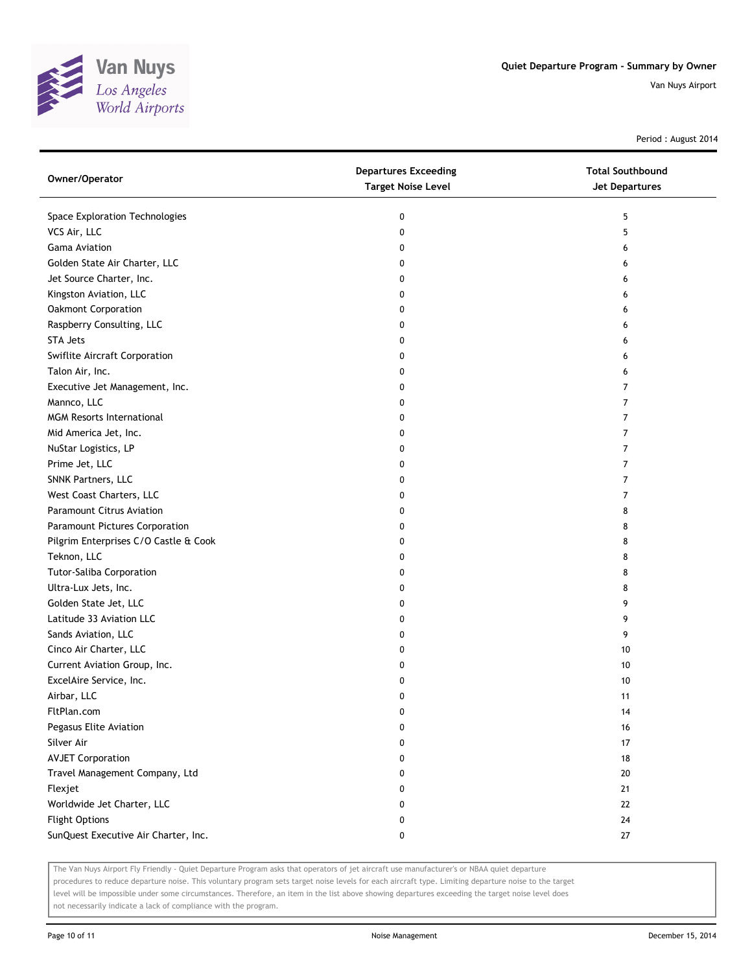

Period : August 2014

| Owner/Operator                        | <b>Departures Exceeding</b><br><b>Target Noise Level</b> | <b>Total Southbound</b><br><b>Jet Departures</b> |
|---------------------------------------|----------------------------------------------------------|--------------------------------------------------|
| Space Exploration Technologies        | 0                                                        | 5                                                |
| VCS Air, LLC                          | 0                                                        | 5                                                |
| <b>Gama Aviation</b>                  | 0                                                        | 6                                                |
| Golden State Air Charter, LLC         | 0                                                        | 6                                                |
| Jet Source Charter, Inc.              | 0                                                        | 6                                                |
| Kingston Aviation, LLC                | 0                                                        | 6                                                |
| Oakmont Corporation                   | 0                                                        | 6                                                |
| Raspberry Consulting, LLC             | 0                                                        | 6                                                |
| <b>STA Jets</b>                       | 0                                                        | 6                                                |
| Swiflite Aircraft Corporation         | 0                                                        | 6                                                |
| Talon Air, Inc.                       | 0                                                        | 6                                                |
| Executive Jet Management, Inc.        | 0                                                        | $\overline{7}$                                   |
| Mannco, LLC                           | 0                                                        | 7                                                |
| <b>MGM Resorts International</b>      | 0                                                        | 7                                                |
| Mid America Jet, Inc.                 | 0                                                        | 7                                                |
| NuStar Logistics, LP                  | 0                                                        | 7                                                |
| Prime Jet, LLC                        | 0                                                        | 7                                                |
| SNNK Partners, LLC                    | 0                                                        | 7                                                |
| West Coast Charters, LLC              | 0                                                        | 7                                                |
| <b>Paramount Citrus Aviation</b>      | 0                                                        | 8                                                |
| Paramount Pictures Corporation        | 0                                                        | 8                                                |
| Pilgrim Enterprises C/O Castle & Cook | 0                                                        | 8                                                |
| Teknon, LLC                           | 0                                                        | 8                                                |
| <b>Tutor-Saliba Corporation</b>       | 0                                                        | 8                                                |
| Ultra-Lux Jets, Inc.                  | 0                                                        | 8                                                |
| Golden State Jet, LLC                 | 0                                                        | 9                                                |
| Latitude 33 Aviation LLC              | 0                                                        | 9                                                |
| Sands Aviation, LLC                   | 0                                                        | 9                                                |
| Cinco Air Charter, LLC                | 0                                                        | 10                                               |
| Current Aviation Group, Inc.          | 0                                                        | 10                                               |
| ExcelAire Service, Inc.               | 0                                                        | $10$                                             |
| Airbar, LLC                           | 0                                                        | 11                                               |
| FltPlan.com                           | 0                                                        | 14                                               |
| Pegasus Elite Aviation                | 0                                                        | 16                                               |
| Silver Air                            | 0                                                        | 17                                               |
| <b>AVJET Corporation</b>              | 0                                                        | 18                                               |
| Travel Management Company, Ltd        | 0                                                        | 20                                               |
| Flexjet                               | 0                                                        | 21                                               |
| Worldwide Jet Charter, LLC            | 0                                                        | 22                                               |
| <b>Flight Options</b>                 | 0                                                        | 24                                               |
| SunQuest Executive Air Charter, Inc.  | 0                                                        | 27                                               |

The Van Nuys Airport Fly Friendly - Quiet Departure Program asks that operators of jet aircraft use manufacturer's or NBAA quiet departure